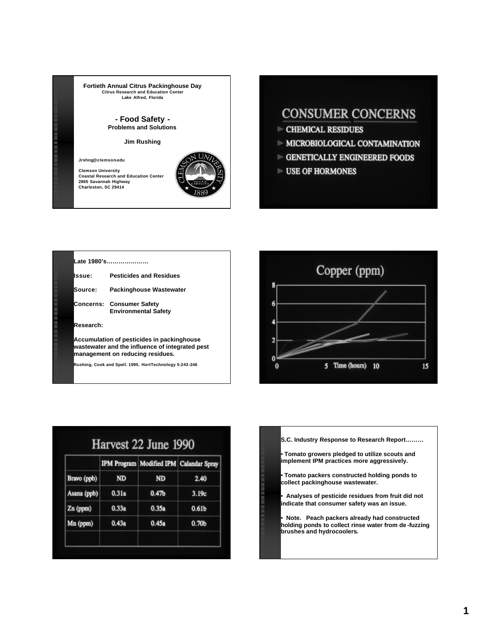

## **- Food Safety - Problems and Solutions**

## **Jim Rushing**

**Jrshng@clemson.edu**

**Clemson University Coastal Research and Education Center 2865 Savannah Highway Charleston, SC 29414**



## **CONSUMER CONCERNS**

- CHEMICAL RESIDUES
- MICROBIOLOGICAL CONTAMINATION
- **GENETICALLY ENGINEERED FOODS**
- USE OF HORMONES

| Late 1980's                                                                                                                       |                                                                 |  |  |
|-----------------------------------------------------------------------------------------------------------------------------------|-----------------------------------------------------------------|--|--|
| lssue:                                                                                                                            | <b>Pesticides and Residues</b>                                  |  |  |
| Source:                                                                                                                           | <b>Packinghouse Wastewater</b>                                  |  |  |
|                                                                                                                                   | <b>Concerns: Consumer Safety</b><br><b>Environmental Safety</b> |  |  |
| Research:                                                                                                                         |                                                                 |  |  |
| Accumulation of pesticides in packinghouse<br>wastewater and the influence of integrated pest<br>management on reducing residues. |                                                                 |  |  |

**Rushing, Cook and Spell. 1995. HortTechnology 5:243 -246**



# Harvest 22 June 1990

|             |           |                   | IPM Program Modified IPM Calandar Spray |
|-------------|-----------|-------------------|-----------------------------------------|
| Bravo (ppb) | <b>ND</b> | <b>ND</b>         | 2.40                                    |
| Asana (ppb) | 0.31a     | 0.47 <sub>b</sub> | 3.19c                                   |
| $Zn$ (ppm)  | 0.33a     | 0.35a             | 0.61 <sub>b</sub>                       |
| Mn (ppm)    | 0.43a     | 0.45a             | 0.70 <sub>b</sub>                       |

| S.C. Industry Response to Research Report                                                                                          |
|------------------------------------------------------------------------------------------------------------------------------------|
| • Tomato growers pledged to utilize scouts and<br>limplement IPM practices more aggressively.                                      |
| • Tomato packers constructed holding ponds to<br>collect packinghouse wastewater.                                                  |
| • Analyses of pesticide residues from fruit did not<br>indicate that consumer safety was an issue.                                 |
| • Note. Peach packers already had constructed<br>holding ponds to collect rinse water from de-fuzzing<br>brushes and hydrocoolers. |
|                                                                                                                                    |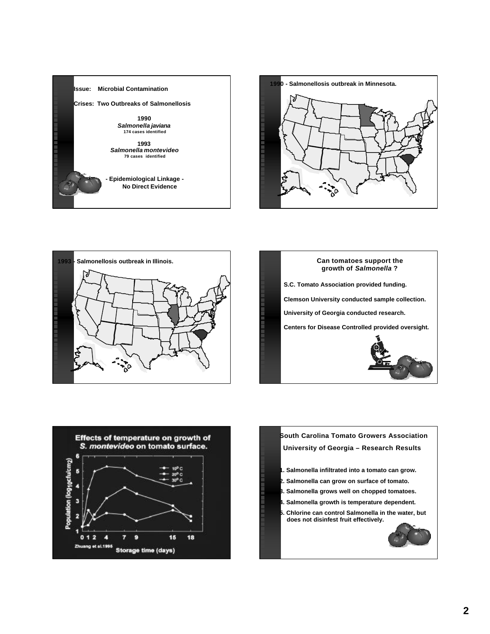









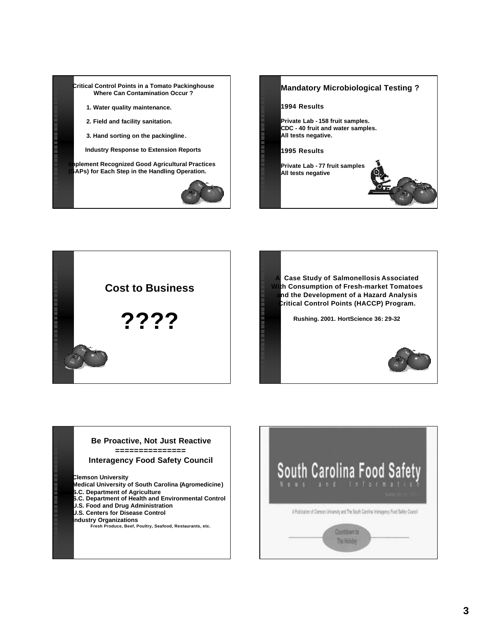









## **Be Proactive, Not Just Reactive ===============**

## **Interagency Food Safety Council**

**Clemson University**

- **Medical University of South Carolina (Agromedicine)**
- **S.C. Department of Agriculture**
- **S.C. Department of Health and Environmental Control**
- **U.S. Food and Drug Administration**
- **U.S. Centers for Disease Control**

**Industry Organizations**

**Fresh Produce, Beef, Poultry, Seafood, Restaurants, etc.**

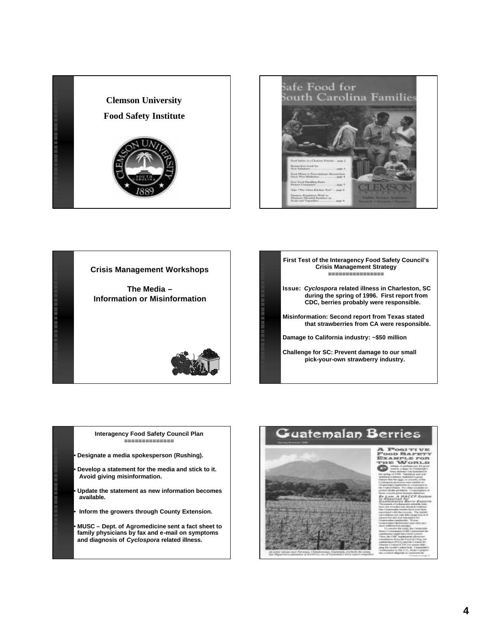







#### **Interagency Food Safety Council Plan ==============**

• **Designate a media spokesperson (Rushing).**

• **Develop a statement for the media and stick to it. Avoid giving misinformation.**

- **Update the statement as new information becomes available.**
- **Inform the growers through County Extension.**
- **MUSC – Dept. of Agromedicine sent a fact sheet to family physicians by fax and e-mail on symptoms and diagnosis of** *Cyclospora* **related illness.**

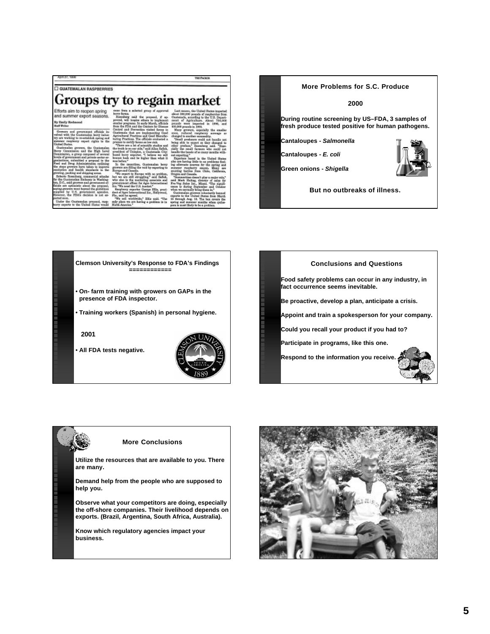April 27, 1936

#### OUATEMALAN RASPBERRIES

# Groups try to regain market

Efforts aim to reopen spring<br>and summer export seasons. By Emily Redmond

were und government afficials in-<br>with the Guntemalas herry indus-<br>variang to re-establish spring and<br>re-respirery enpert rights to the<br>12bates.  $0<sub>n</sub>$ 

A growers, the Contemains<br>helen and the High Lovel<br>a group composed of neveral<br>ransat and private sector or<br>subsiding a proposed to the content<br>var Administration contribute ordining in the support of the support of the support of the support of the support of the support of the support of the support of the support of the support of the support of the support of the support of the support of

a consulted a prepared to the main of the main and the state of the state of the state of the state of the state of the state of the state of the state of the state of the state of the state of the state of the state of th

shoted group of approved.  $rac{1}{2}$ 

etzy farmo os low reck.<br>va bei of scientific studius and<br>m our sida," suid Allan Safioh,<br>Unispice, a Guatsmala City-<br>superior. "I believe we will<br>ead be higher than what it 뻪 antime, Guatemalan berry<br>Hing the reid by experting to

and Canada.<br>sport to Europe with no problem.<br>are still struggling," said fieldsh.<br>a is the marketing associate and<br>sent offices for Agoo International nitoring asso<br>for Agos late<br>3

d the U.S. insulate"<br>exporter George Ellis, presi-<br>International Inc., Hellywood, U.S. geven<br>contra approxe. 4 and of Apy Islematical Inc. Hillywood, FDMs decision is<br> $$\rm\,76\,s$  and  $$\rm\,78\,s$  and be writed<br>with  $$\rm\,78\,s$  and  $$\rm\,78\,s$  and and the scheme of<br>p phone we are having a problem in in t

THE PACKER

 $\frac{exp\alpha}{15}$  is  $11.5$ 

#### **More Problems for S.C. Produce**

#### **2000**

**During routine screening by US–FDA, 3 samples of fresh produce tested positive for human pathogens.**

**Cantaloupes -** *Salmonella*

**Cantaloupes -** *E. coli*

**Green onions -** *Shigella*



**But no outbreaks of illness.**





### **More Conclusions**

**Utilize the resources that are available to you. There are many.**

**Demand help from the people who are supposed to help you.**

**Observe what your competitors are doing, especially the off-shore companies. Their livelihood depends on exports. (Brazil, Argentina, South Africa, Australia).**

**Know which regulatory agencies impact your business.**